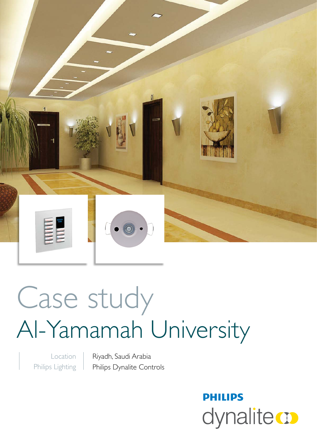

# Case study Al-Yamamah University

Location Philips Lighting Riyadh, Saudi Arabia Philips Dynalite Controls

> **PHILIPS** dynalite **o**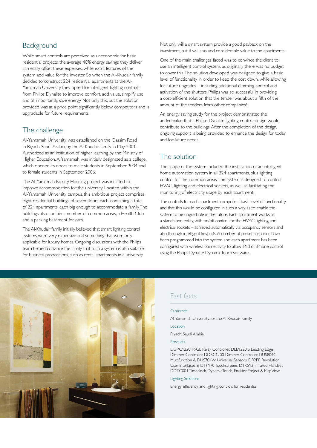## **Background**

While smart controls are perceived as uneconomic for basic residential projects, the average 40% energy savings they deliver can easily offset these expenses, while extra features of the system add value for the investor. So when the Al-Khudair family decided to construct 224 residential apartments at the Al-Yamamah University, they opted for intelligent lighting controls from Philips Dynalite to improve comfort, add value, simplify use and all importantly, save energy. Not only this, but the solution provided was at a price point significantly below competitors and is upgradable for future requirements.

## The challenge

Al-Yamamah University was established on the Qassim Road in Riyadh, Saudi Arabia, by the Al-Khudair family in May 2001. Authorized as an institution of higher learning by the Ministry of Higher Education, Al Yamamah was initially designated as a college, which opened its doors to male students in September 2004 and to female students in September 2006.

The Al-Yamamah Faculty Housing project was initiated to improve accommodation for the university. Located within the Al-Yamamah University campus, this ambitious project comprises eight residential buildings of seven floors each, containing a total of 224 apartments, each big enough to accommodate a family. The buildings also contain a number of common areas, a Health Club and a parking basement for cars.

The Al-Khudair family initially believed that smart lighting control systems were very expensive and something that were only applicable for luxury homes. Ongoing discussions with the Philips team helped convince the family that such a system is also suitable for business propositions, such as rental apartments in a university.

Not only will a smart system provide a good payback on the investment, but it will also add considerable value to the apartments.

One of the main challenges faced was to convince the client to use an intelligent control system, as originally there was no budget to cover this. The solution developed was designed to give a basic level of functionality in order to keep the cost down, while allowing for future upgrades – including additional dimming control and activation of the shutters. Philips was so successful in providing a cost-efficient solution that the tender was about a fifth of the amount of the tenders from other companies!

An energy saving study for the project demonstrated the added value that a Philips Dynalite lighting control design would contribute to the buildings. After the completion of the design, ongoing support is being provided to enhance the design for today and for future needs.

## The solution

The scope of the system included the installation of an intelligent home automation system in all 224 apartments, plus lighting control for the common areas. The system is designed to control HVAC, lighting and electrical sockets, as well as facilitating the monitoring of electricity usage by each apartment.

The controls for each apartment comprise a basic level of functionality and that this would be configured in such a way as to enable the system to be upgradable in the future. Each apartment works as a standalone entity, with on/off control for the HVAC, lighting and electrical sockets – achieved automatically via occupancy sensors and also through intelligent keypads. A number of preset scenarios have been programmed into the system and each apartment has been configured with wireless connectivity to allow iPad or iPhone control, using the Philips Dynalite DynamicTouch software.



## Fast facts

#### Customer

Al-Yamamah University, for the Al-Khudair Family

Location

Riyadh, Saudi Arabia

#### Products

DDRC1220FR-GL Relay Controller, DLE1220G Leading Edge Dimmer Controller, DDBC1200 Dimmer Controller, DUS804C Multifunction & DUS704W Universal Sensors, DR2PE Revolution User Interfaces & DTP170 Touchscreens, DTK512 Infrared Handset, DDTC001 Timeclock, DynamicTouch, EnvisionProject & MapView.

#### Lighting Solutions

Energy efficiency and lighting controls for residential.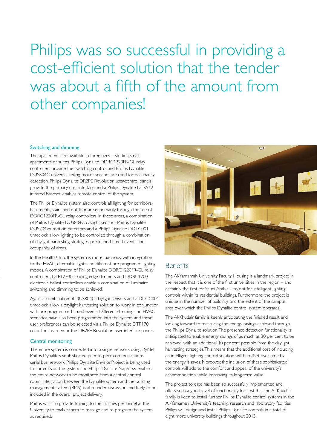Philips was so successful in providing a cost-efficient solution that the tender was about a fifth of the amount from other companies!

#### Switching and dimming

The apartments are available in three sizes – studios, small apartments or suites. Philips Dynalite DDRC1220FR-GL relay controllers provide the switching control and Philips Dynalite DUS804C universal ceiling-mount sensors are used for occupancy detection. Philips Dynalite DR2PE Revolution user-control panels provide the primary user interface and a Philips Dynalite DTK512 infrared handset, enables remote control of the system.

The Philips Dynalite system also controls all lighting for corridors, basements, stairs and outdoor areas, primarily through the use of DDRC1220FR-GL relay controllers. In these areas, a combination of Philips Dynalite DUS804C daylight sensors, Philips Dynalite DUS704W motion detectors and a Philips Dynalite DDTC001 timeclock allow lighting to be controlled through a combination of daylight harvesting strategies, predefined timed events and occupancy of areas.

In the Health Club, the system is more luxurious, with integration to the HVAC, dimmable lights and different pre-programed lighting moods. A combination of Philips Dynalite DDRC1220FR-GL relay controllers, DLE1220G leading edge dimmers and DDBC1200 electronic ballast controllers enable a combination of luminaire switching and dimming to be achieved.

Again, a combination of DUS804C daylight sensors and a DDTC001 timeclock allow a daylight harvesting solution to work in conjunction with pre-programmed timed events. Different dimming and HVAC scenarios have also been programmed into the system and these user preferences can be selected via a Philips Dynalite DTP170 color touchscreen or the DR2PE Revolution user interface panels.

#### Central monitoring

The entire system is connected into a single network using DyNet, Philips Dynalite's sophisticated peer-to-peer communications serial bus network. Philips Dynalite EnvisionProject is being used to commission the system and Philips Dynalite MapView enables the entire network to be monitored from a central control room. Integration between the Dynalite system and the building management system (BMS) is also under discussion and likely to be included in the overall project delivery.

Philips will also provide training to the facilities personnel at the University to enable them to manage and re-program the system as required.



## Benefits

The Al-Yamamah University Faculty Housing is a landmark project in the respect that it is one of the first universities in the region – and certainly the first for Saudi Arabia – to opt for intelligent lighting controls within its residential buildings. Furthermore, the project is unique in the number of buildings and the extent of the campus area over which the Philips Dynalite control system operates.

The Al-Khudair family is keenly anticipating the finished result and looking forward to measuring the energy savings achieved through the Philips Dynalite solution. The presence detection functionality is anticipated to enable energy savings of as much as 30 per cent to be achieved, with an additional 10 per cent possible from the daylight harvesting strategies. This means that the additional cost of including an intelligent lighting control solution will be offset over time by the energy it saves. Moreover, the inclusion of these sophisticated controls will add to the comfort and appeal of the university's accommodation, while improving its long-term value.

The project to date has been so successfully implemented and offers such a good level of functionality for cost that the Al-Khudair family is keen to install further Philips Dynalite control systems in the Al-Yamamah University's teaching, research and laboratory facilities. Philips will design and install Philips Dynalite controls in a total of eight more university buildings throughout 2013.